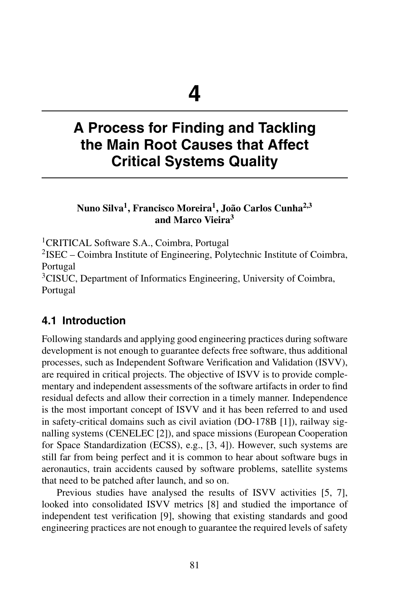# **A Process for Finding and Tackling the Main Root Causes that Affect Critical Systems Quality**

#### **Nuno Silva<sup>1</sup> , Francisco Moreira<sup>1</sup> , Joao Carlos Cunha ˜ 2,3 and Marco Vieira<sup>3</sup>**

<sup>1</sup>CRITICAL Software S.A., Coimbra, Portugal 2 ISEC – Coimbra Institute of Engineering, Polytechnic Institute of Coimbra, Portugal <sup>3</sup>CISUC, Department of Informatics Engineering, University of Coimbra, Portugal

# **4.1 Introduction**

Following standards and applying good engineering practices during software development is not enough to guarantee defects free software, thus additional processes, such as Independent Software Verification and Validation (ISVV), are required in critical projects. The objective of ISVV is to provide complementary and independent assessments of the software artifacts in order to find residual defects and allow their correction in a timely manner. Independence is the most important concept of ISVV and it has been referred to and used in safety-critical domains such as civil aviation (DO-178B [1]), railway signalling systems (CENELEC [2]), and space missions (European Cooperation for Space Standardization (ECSS), e.g., [3, 4]). However, such systems are still far from being perfect and it is common to hear about software bugs in aeronautics, train accidents caused by software problems, satellite systems that need to be patched after launch, and so on.

Previous studies have analysed the results of ISVV activities [5, 7], looked into consolidated ISVV metrics [8] and studied the importance of independent test verification [9], showing that existing standards and good engineering practices are not enough to guarantee the required levels of safety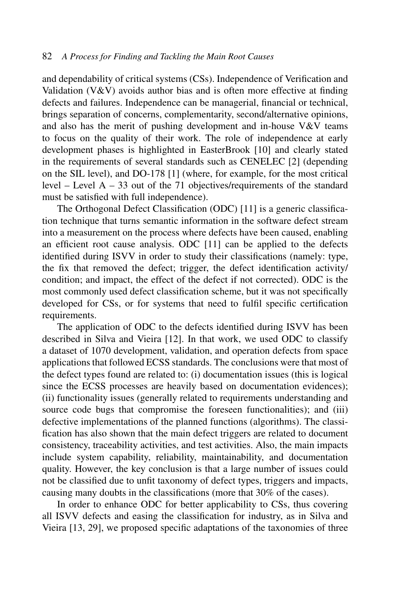and dependability of critical systems (CSs). Independence of Verification and Validation (V&V) avoids author bias and is often more effective at finding defects and failures. Independence can be managerial, financial or technical, brings separation of concerns, complementarity, second/alternative opinions, and also has the merit of pushing development and in-house V&V teams to focus on the quality of their work. The role of independence at early development phases is highlighted in EasterBrook [10] and clearly stated in the requirements of several standards such as CENELEC [2] (depending on the SIL level), and DO-178 [1] (where, for example, for the most critical level – Level A – 33 out of the 71 objectives/requirements of the standard must be satisfied with full independence).

The Orthogonal Defect Classification (ODC) [11] is a generic classification technique that turns semantic information in the software defect stream into a measurement on the process where defects have been caused, enabling an efficient root cause analysis. ODC [11] can be applied to the defects identified during ISVV in order to study their classifications (namely: type, the fix that removed the defect; trigger, the defect identification activity/ condition; and impact, the effect of the defect if not corrected). ODC is the most commonly used defect classification scheme, but it was not specifically developed for CSs, or for systems that need to fulfil specific certification requirements.

The application of ODC to the defects identified during ISVV has been described in Silva and Vieira [12]. In that work, we used ODC to classify a dataset of 1070 development, validation, and operation defects from space applications that followed ECSS standards. The conclusions were that most of the defect types found are related to: (i) documentation issues (this is logical since the ECSS processes are heavily based on documentation evidences); (ii) functionality issues (generally related to requirements understanding and source code bugs that compromise the foreseen functionalities); and (iii) defective implementations of the planned functions (algorithms). The classification has also shown that the main defect triggers are related to document consistency, traceability activities, and test activities. Also, the main impacts include system capability, reliability, maintainability, and documentation quality. However, the key conclusion is that a large number of issues could not be classified due to unfit taxonomy of defect types, triggers and impacts, causing many doubts in the classifications (more that 30% of the cases).

In order to enhance ODC for better applicability to CSs, thus covering all ISVV defects and easing the classification for industry, as in Silva and Vieira [13, 29], we proposed specific adaptations of the taxonomies of three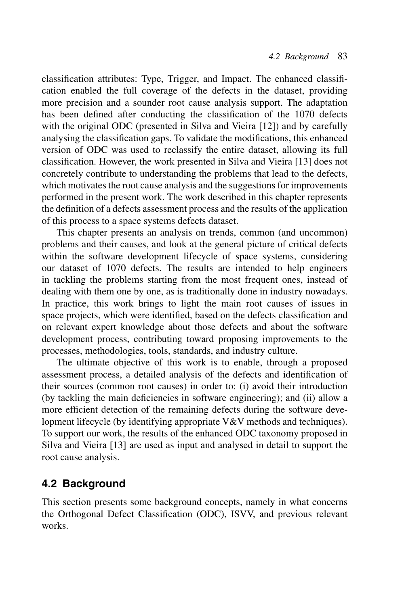classification attributes: Type, Trigger, and Impact. The enhanced classification enabled the full coverage of the defects in the dataset, providing more precision and a sounder root cause analysis support. The adaptation has been defined after conducting the classification of the 1070 defects with the original ODC (presented in Silva and Vieira [12]) and by carefully analysing the classification gaps. To validate the modifications, this enhanced version of ODC was used to reclassify the entire dataset, allowing its full classification. However, the work presented in Silva and Vieira [13] does not concretely contribute to understanding the problems that lead to the defects, which motivates the root cause analysis and the suggestions for improvements performed in the present work. The work described in this chapter represents the definition of a defects assessment process and the results of the application of this process to a space systems defects dataset.

This chapter presents an analysis on trends, common (and uncommon) problems and their causes, and look at the general picture of critical defects within the software development lifecycle of space systems, considering our dataset of 1070 defects. The results are intended to help engineers in tackling the problems starting from the most frequent ones, instead of dealing with them one by one, as is traditionally done in industry nowadays. In practice, this work brings to light the main root causes of issues in space projects, which were identified, based on the defects classification and on relevant expert knowledge about those defects and about the software development process, contributing toward proposing improvements to the processes, methodologies, tools, standards, and industry culture.

The ultimate objective of this work is to enable, through a proposed assessment process, a detailed analysis of the defects and identification of their sources (common root causes) in order to: (i) avoid their introduction (by tackling the main deficiencies in software engineering); and (ii) allow a more efficient detection of the remaining defects during the software development lifecycle (by identifying appropriate V&V methods and techniques). To support our work, the results of the enhanced ODC taxonomy proposed in Silva and Vieira [13] are used as input and analysed in detail to support the root cause analysis.

# **4.2 Background**

This section presents some background concepts, namely in what concerns the Orthogonal Defect Classification (ODC), ISVV, and previous relevant works.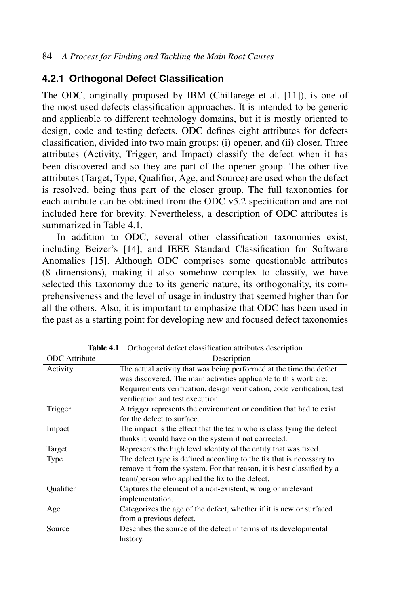#### **4.2.1 Orthogonal Defect Classification**

The ODC, originally proposed by IBM (Chillarege et al. [11]), is one of the most used defects classification approaches. It is intended to be generic and applicable to different technology domains, but it is mostly oriented to design, code and testing defects. ODC defines eight attributes for defects classification, divided into two main groups: (i) opener, and (ii) closer. Three attributes (Activity, Trigger, and Impact) classify the defect when it has been discovered and so they are part of the opener group. The other five attributes (Target, Type, Qualifier, Age, and Source) are used when the defect is resolved, being thus part of the closer group. The full taxonomies for each attribute can be obtained from the ODC v5.2 specification and are not included here for brevity. Nevertheless, a description of ODC attributes is summarized in Table 4.1.

In addition to ODC, several other classification taxonomies exist, including Beizer's [14], and IEEE Standard Classification for Software Anomalies [15]. Although ODC comprises some questionable attributes (8 dimensions), making it also somehow complex to classify, we have selected this taxonomy due to its generic nature, its orthogonality, its comprehensiveness and the level of usage in industry that seemed higher than for all the others. Also, it is important to emphasize that ODC has been used in the past as a starting point for developing new and focused defect taxonomies

| Description                                                             |
|-------------------------------------------------------------------------|
| The actual activity that was being performed at the time the defect     |
| was discovered. The main activities applicable to this work are:        |
| Requirements verification, design verification, code verification, test |
| verification and test execution.                                        |
| A trigger represents the environment or condition that had to exist     |
| for the defect to surface.                                              |
| The impact is the effect that the team who is classifying the defect    |
| thinks it would have on the system if not corrected.                    |
| Represents the high level identity of the entity that was fixed.        |
| The defect type is defined according to the fix that is necessary to    |
| remove it from the system. For that reason, it is best classified by a  |
| team/person who applied the fix to the defect.                          |
| Captures the element of a non-existent, wrong or irrelevant             |
| implementation.                                                         |
| Categorizes the age of the defect, whether if it is new or surfaced     |
| from a previous defect.                                                 |
| Describes the source of the defect in terms of its developmental        |
| history.                                                                |
|                                                                         |

**Table 4.1** Orthogonal defect classification attributes description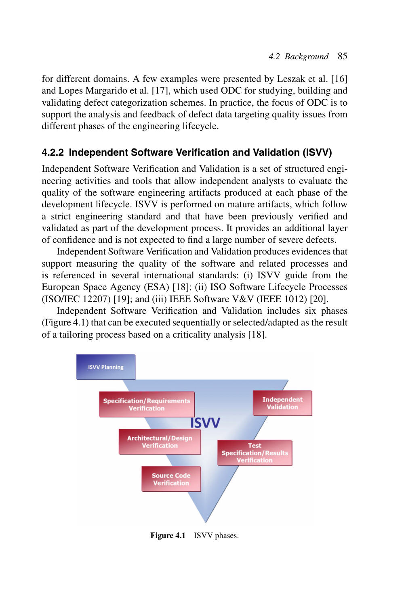for different domains. A few examples were presented by Leszak et al. [16] and Lopes Margarido et al. [17], which used ODC for studying, building and validating defect categorization schemes. In practice, the focus of ODC is to support the analysis and feedback of defect data targeting quality issues from different phases of the engineering lifecycle.

### **4.2.2 Independent Software Verification and Validation (ISVV)**

Independent Software Verification and Validation is a set of structured engineering activities and tools that allow independent analysts to evaluate the quality of the software engineering artifacts produced at each phase of the development lifecycle. ISVV is performed on mature artifacts, which follow a strict engineering standard and that have been previously verified and validated as part of the development process. It provides an additional layer of confidence and is not expected to find a large number of severe defects.

Independent Software Verification and Validation produces evidences that support measuring the quality of the software and related processes and is referenced in several international standards: (i) ISVV guide from the European Space Agency (ESA) [18]; (ii) ISO Software Lifecycle Processes (ISO/IEC 12207) [19]; and (iii) IEEE Software V&V (IEEE 1012) [20].

Independent Software Verification and Validation includes six phases (Figure 4.1) that can be executed sequentially or selected/adapted as the result of a tailoring process based on a criticality analysis [18].



**Figure 4.1** ISVV phases.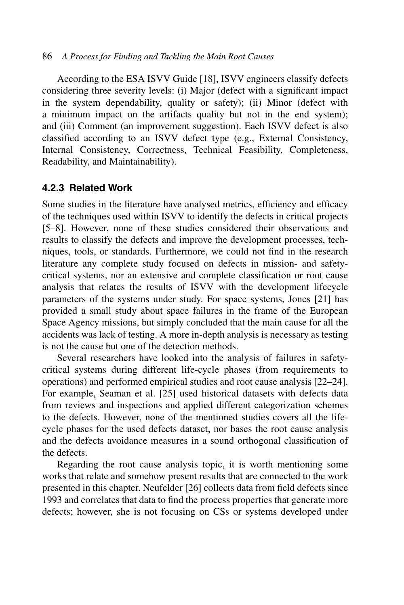According to the ESA ISVV Guide [18], ISVV engineers classify defects considering three severity levels: (i) Major (defect with a significant impact in the system dependability, quality or safety); (ii) Minor (defect with a minimum impact on the artifacts quality but not in the end system); and (iii) Comment (an improvement suggestion). Each ISVV defect is also classified according to an ISVV defect type (e.g., External Consistency, Internal Consistency, Correctness, Technical Feasibility, Completeness, Readability, and Maintainability).

#### **4.2.3 Related Work**

Some studies in the literature have analysed metrics, efficiency and efficacy of the techniques used within ISVV to identify the defects in critical projects [5–8]. However, none of these studies considered their observations and results to classify the defects and improve the development processes, techniques, tools, or standards. Furthermore, we could not find in the research literature any complete study focused on defects in mission- and safetycritical systems, nor an extensive and complete classification or root cause analysis that relates the results of ISVV with the development lifecycle parameters of the systems under study. For space systems, Jones [21] has provided a small study about space failures in the frame of the European Space Agency missions, but simply concluded that the main cause for all the accidents was lack of testing. A more in-depth analysis is necessary as testing is not the cause but one of the detection methods.

Several researchers have looked into the analysis of failures in safetycritical systems during different life-cycle phases (from requirements to operations) and performed empirical studies and root cause analysis [22–24]. For example, Seaman et al. [25] used historical datasets with defects data from reviews and inspections and applied different categorization schemes to the defects. However, none of the mentioned studies covers all the lifecycle phases for the used defects dataset, nor bases the root cause analysis and the defects avoidance measures in a sound orthogonal classification of the defects.

Regarding the root cause analysis topic, it is worth mentioning some works that relate and somehow present results that are connected to the work presented in this chapter. Neufelder [26] collects data from field defects since 1993 and correlates that data to find the process properties that generate more defects; however, she is not focusing on CSs or systems developed under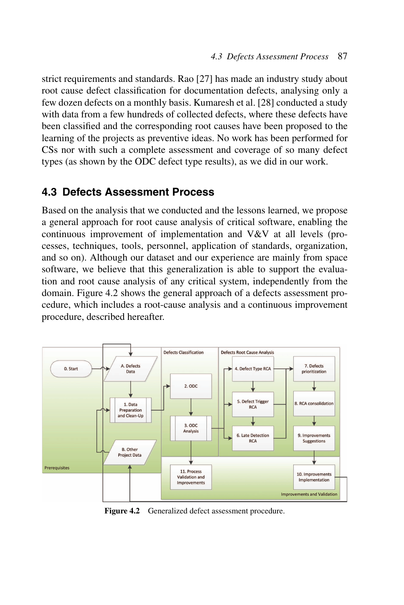strict requirements and standards. Rao [27] has made an industry study about root cause defect classification for documentation defects, analysing only a few dozen defects on a monthly basis. Kumaresh et al. [28] conducted a study with data from a few hundreds of collected defects, where these defects have been classified and the corresponding root causes have been proposed to the learning of the projects as preventive ideas. No work has been performed for CSs nor with such a complete assessment and coverage of so many defect types (as shown by the ODC defect type results), as we did in our work.

# **4.3 Defects Assessment Process**

Based on the analysis that we conducted and the lessons learned, we propose a general approach for root cause analysis of critical software, enabling the continuous improvement of implementation and V&V at all levels (processes, techniques, tools, personnel, application of standards, organization, and so on). Although our dataset and our experience are mainly from space software, we believe that this generalization is able to support the evaluation and root cause analysis of any critical system, independently from the domain. Figure 4.2 shows the general approach of a defects assessment procedure, which includes a root-cause analysis and a continuous improvement procedure, described hereafter.



Figure 4.2 Generalized defect assessment procedure.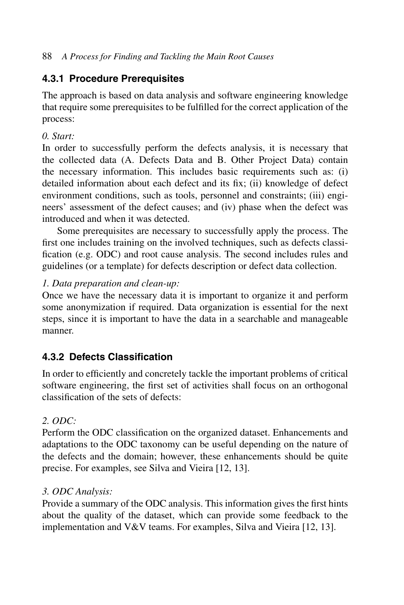# **4.3.1 Procedure Prerequisites**

The approach is based on data analysis and software engineering knowledge that require some prerequisites to be fulfilled for the correct application of the process:

### *0. Start:*

In order to successfully perform the defects analysis, it is necessary that the collected data (A. Defects Data and B. Other Project Data) contain the necessary information. This includes basic requirements such as: (i) detailed information about each defect and its fix; (ii) knowledge of defect environment conditions, such as tools, personnel and constraints; (iii) engineers' assessment of the defect causes; and (iv) phase when the defect was introduced and when it was detected.

Some prerequisites are necessary to successfully apply the process. The first one includes training on the involved techniques, such as defects classification (e.g. ODC) and root cause analysis. The second includes rules and guidelines (or a template) for defects description or defect data collection.

### *1. Data preparation and clean-up:*

Once we have the necessary data it is important to organize it and perform some anonymization if required. Data organization is essential for the next steps, since it is important to have the data in a searchable and manageable manner.

# **4.3.2 Defects Classification**

In order to efficiently and concretely tackle the important problems of critical software engineering, the first set of activities shall focus on an orthogonal classification of the sets of defects:

# *2. ODC:*

Perform the ODC classification on the organized dataset. Enhancements and adaptations to the ODC taxonomy can be useful depending on the nature of the defects and the domain; however, these enhancements should be quite precise. For examples, see Silva and Vieira [12, 13].

# *3. ODC Analysis:*

Provide a summary of the ODC analysis. This information gives the first hints about the quality of the dataset, which can provide some feedback to the implementation and V&V teams. For examples, Silva and Vieira [12, 13].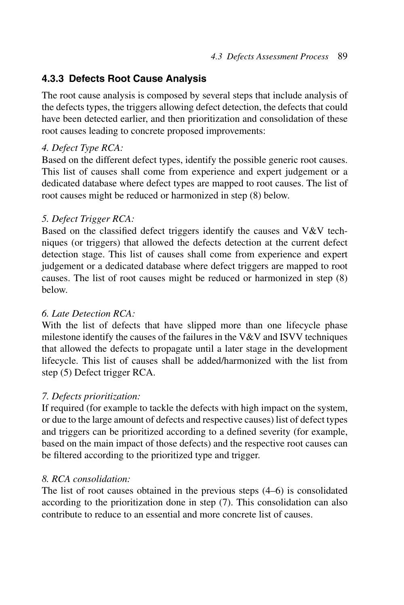# **4.3.3 Defects Root Cause Analysis**

The root cause analysis is composed by several steps that include analysis of the defects types, the triggers allowing defect detection, the defects that could have been detected earlier, and then prioritization and consolidation of these root causes leading to concrete proposed improvements:

#### *4. Defect Type RCA:*

Based on the different defect types, identify the possible generic root causes. This list of causes shall come from experience and expert judgement or a dedicated database where defect types are mapped to root causes. The list of root causes might be reduced or harmonized in step (8) below.

#### *5. Defect Trigger RCA:*

Based on the classified defect triggers identify the causes and V&V techniques (or triggers) that allowed the defects detection at the current defect detection stage. This list of causes shall come from experience and expert judgement or a dedicated database where defect triggers are mapped to root causes. The list of root causes might be reduced or harmonized in step (8) below.

### *6. Late Detection RCA:*

With the list of defects that have slipped more than one lifecycle phase milestone identify the causes of the failures in the V&V and ISVV techniques that allowed the defects to propagate until a later stage in the development lifecycle. This list of causes shall be added/harmonized with the list from step (5) Defect trigger RCA.

### *7. Defects prioritization:*

If required (for example to tackle the defects with high impact on the system, or due to the large amount of defects and respective causes) list of defect types and triggers can be prioritized according to a defined severity (for example, based on the main impact of those defects) and the respective root causes can be filtered according to the prioritized type and trigger.

### *8. RCA consolidation:*

The list of root causes obtained in the previous steps (4–6) is consolidated according to the prioritization done in step (7). This consolidation can also contribute to reduce to an essential and more concrete list of causes.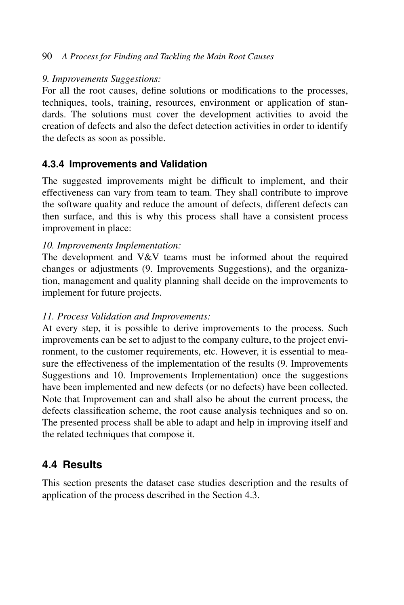#### *9. Improvements Suggestions:*

For all the root causes, define solutions or modifications to the processes, techniques, tools, training, resources, environment or application of standards. The solutions must cover the development activities to avoid the creation of defects and also the defect detection activities in order to identify the defects as soon as possible.

### **4.3.4 Improvements and Validation**

The suggested improvements might be difficult to implement, and their effectiveness can vary from team to team. They shall contribute to improve the software quality and reduce the amount of defects, different defects can then surface, and this is why this process shall have a consistent process improvement in place:

#### *10. Improvements Implementation:*

The development and V&V teams must be informed about the required changes or adjustments (9. Improvements Suggestions), and the organization, management and quality planning shall decide on the improvements to implement for future projects.

#### *11. Process Validation and Improvements:*

At every step, it is possible to derive improvements to the process. Such improvements can be set to adjust to the company culture, to the project environment, to the customer requirements, etc. However, it is essential to measure the effectiveness of the implementation of the results (9. Improvements Suggestions and 10. Improvements Implementation) once the suggestions have been implemented and new defects (or no defects) have been collected. Note that Improvement can and shall also be about the current process, the defects classification scheme, the root cause analysis techniques and so on. The presented process shall be able to adapt and help in improving itself and the related techniques that compose it.

# **4.4 Results**

This section presents the dataset case studies description and the results of application of the process described in the Section 4.3.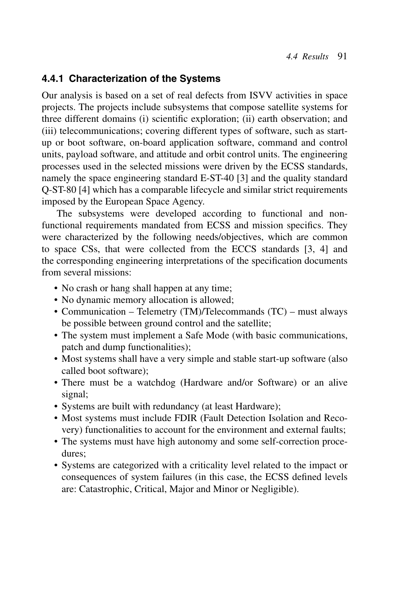#### **4.4.1 Characterization of the Systems**

Our analysis is based on a set of real defects from ISVV activities in space projects. The projects include subsystems that compose satellite systems for three different domains (i) scientific exploration; (ii) earth observation; and (iii) telecommunications; covering different types of software, such as startup or boot software, on-board application software, command and control units, payload software, and attitude and orbit control units. The engineering processes used in the selected missions were driven by the ECSS standards, namely the space engineering standard E-ST-40 [3] and the quality standard Q-ST-80 [4] which has a comparable lifecycle and similar strict requirements imposed by the European Space Agency.

The subsystems were developed according to functional and nonfunctional requirements mandated from ECSS and mission specifics. They were characterized by the following needs/objectives, which are common to space CSs, that were collected from the ECCS standards [3, 4] and the corresponding engineering interpretations of the specification documents from several missions:

- No crash or hang shall happen at any time;
- No dynamic memory allocation is allowed;
- Communication Telemetry (TM)/Telecommands (TC) must always be possible between ground control and the satellite;
- The system must implement a Safe Mode (with basic communications, patch and dump functionalities);
- Most systems shall have a very simple and stable start-up software (also called boot software);
- There must be a watchdog (Hardware and/or Software) or an alive signal;
- Systems are built with redundancy (at least Hardware);
- Most systems must include FDIR (Fault Detection Isolation and Recovery) functionalities to account for the environment and external faults;
- The systems must have high autonomy and some self-correction procedures;
- Systems are categorized with a criticality level related to the impact or consequences of system failures (in this case, the ECSS defined levels are: Catastrophic, Critical, Major and Minor or Negligible).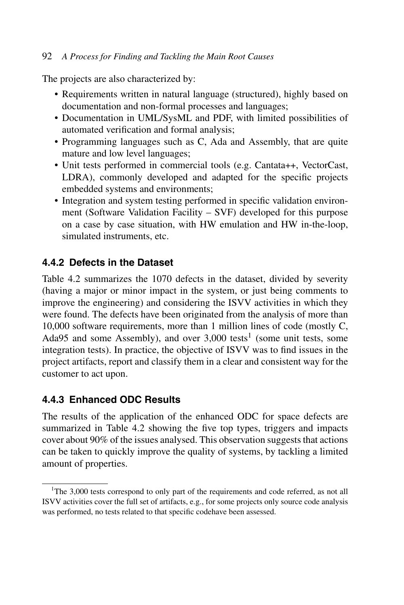The projects are also characterized by:

- Requirements written in natural language (structured), highly based on documentation and non-formal processes and languages;
- Documentation in UML/SysML and PDF, with limited possibilities of automated verification and formal analysis;
- Programming languages such as C, Ada and Assembly, that are quite mature and low level languages;
- Unit tests performed in commercial tools (e.g. Cantata++, VectorCast, LDRA), commonly developed and adapted for the specific projects embedded systems and environments;
- Integration and system testing performed in specific validation environment (Software Validation Facility – SVF) developed for this purpose on a case by case situation, with HW emulation and HW in-the-loop, simulated instruments, etc.

### **4.4.2 Defects in the Dataset**

Table 4.2 summarizes the 1070 defects in the dataset, divided by severity (having a major or minor impact in the system, or just being comments to improve the engineering) and considering the ISVV activities in which they were found. The defects have been originated from the analysis of more than 10,000 software requirements, more than 1 million lines of code (mostly C, Ada95 and some Assembly), and over  $3,000$  tests<sup>1</sup> (some unit tests, some integration tests). In practice, the objective of ISVV was to find issues in the project artifacts, report and classify them in a clear and consistent way for the customer to act upon.

# **4.4.3 Enhanced ODC Results**

The results of the application of the enhanced ODC for space defects are summarized in Table 4.2 showing the five top types, triggers and impacts cover about 90% of the issues analysed. This observation suggests that actions can be taken to quickly improve the quality of systems, by tackling a limited amount of properties.

 $1$ The 3,000 tests correspond to only part of the requirements and code referred, as not all ISVV activities cover the full set of artifacts, e.g., for some projects only source code analysis was performed, no tests related to that specific codehave been assessed.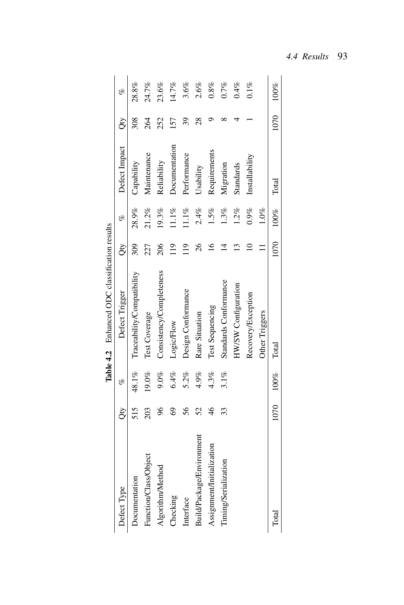| Defect Type               | ð              | olo     | Defect Trigger             | ðty           | of       | Defect Impact  | ðty             | S,      |
|---------------------------|----------------|---------|----------------------------|---------------|----------|----------------|-----------------|---------|
| Documentation             | 515            | 48.1%   | Traceability/Compatibility | 309           | 28.9%    | Capability     | 308             | 28.8%   |
| Function/Class/Object     | 203            | 19.0%   | Test Coverage              | 227           | 21.2%    | Maintenance    | 264             | 24.7%   |
| Algorithm/Method          | 96             | $9.0\%$ | Consistency/Completeness   | 206           | 19.3%    | Reliability    | 252             | 23.6%   |
| Checking                  | $\overline{6}$ | 6.4%    | Logic/Flow                 | $\frac{9}{1}$ | 1.1%     | Documentation  | 57              | 14.7%   |
| Interface                 | 56             | $5.2\%$ | Design Conformance         | $\frac{1}{2}$ | $11.1\%$ | Performance    | 39              | 3.6%    |
| Build/Package/Environment | 52             | 4.9%    | Rare Situation             | 26            | 2.4%     | Usability      | $\overline{28}$ | 2.6%    |
| Assignment/Initialization | $\frac{6}{5}$  | 4.3%    | <b>Test Sequencing</b>     | $\circ$       | $1.5\%$  | Requirements   |                 | 0.8%    |
| Timing/Serialization      | 33             | $3.1\%$ | Standards Conformance      | 4             | 1.3%     | Migration      |                 | 0.7%    |
|                           |                |         | HW/SW Configuration        |               | $1.2\%$  | Standards      |                 | 0.4%    |
|                           |                |         | Recovery/Exception         |               | $0.9\%$  | Installability |                 | $0.1\%$ |
|                           |                |         | Other Triggers             |               | $1.0\%$  |                |                 |         |
| Total                     | 1070           | 100%    | Total                      | 1070          | 100%     | Total          | 1070            | 100%    |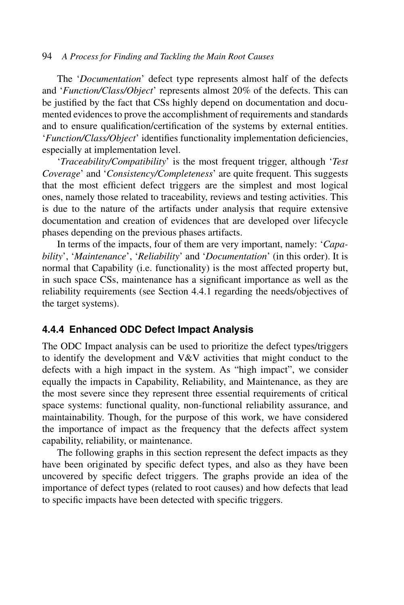The '*Documentation*' defect type represents almost half of the defects and '*Function/Class/Object*' represents almost 20% of the defects. This can be justified by the fact that CSs highly depend on documentation and documented evidences to prove the accomplishment of requirements and standards and to ensure qualification/certification of the systems by external entities. '*Function/Class/Object*' identifies functionality implementation deficiencies, especially at implementation level.

'*Traceability/Compatibility*' is the most frequent trigger, although '*Test Coverage*' and '*Consistency/Completeness*' are quite frequent. This suggests that the most efficient defect triggers are the simplest and most logical ones, namely those related to traceability, reviews and testing activities. This is due to the nature of the artifacts under analysis that require extensive documentation and creation of evidences that are developed over lifecycle phases depending on the previous phases artifacts.

In terms of the impacts, four of them are very important, namely: '*Capability*', '*Maintenance*', '*Reliability*' and '*Documentation*' (in this order). It is normal that Capability (i.e. functionality) is the most affected property but, in such space CSs, maintenance has a significant importance as well as the reliability requirements (see Section 4.4.1 regarding the needs/objectives of the target systems).

#### **4.4.4 Enhanced ODC Defect Impact Analysis**

The ODC Impact analysis can be used to prioritize the defect types/triggers to identify the development and V&V activities that might conduct to the defects with a high impact in the system. As "high impact", we consider equally the impacts in Capability, Reliability, and Maintenance, as they are the most severe since they represent three essential requirements of critical space systems: functional quality, non-functional reliability assurance, and maintainability. Though, for the purpose of this work, we have considered the importance of impact as the frequency that the defects affect system capability, reliability, or maintenance.

The following graphs in this section represent the defect impacts as they have been originated by specific defect types, and also as they have been uncovered by specific defect triggers. The graphs provide an idea of the importance of defect types (related to root causes) and how defects that lead to specific impacts have been detected with specific triggers.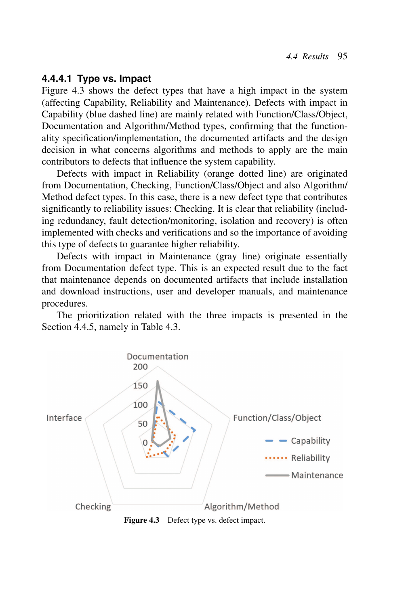#### **4.4.4.1 Type vs. Impact**

Figure 4.3 shows the defect types that have a high impact in the system (affecting Capability, Reliability and Maintenance). Defects with impact in Capability (blue dashed line) are mainly related with Function/Class/Object, Documentation and Algorithm/Method types, confirming that the functionality specification/implementation, the documented artifacts and the design decision in what concerns algorithms and methods to apply are the main contributors to defects that influence the system capability.

Defects with impact in Reliability (orange dotted line) are originated from Documentation, Checking, Function/Class/Object and also Algorithm/ Method defect types. In this case, there is a new defect type that contributes significantly to reliability issues: Checking. It is clear that reliability (including redundancy, fault detection/monitoring, isolation and recovery) is often implemented with checks and verifications and so the importance of avoiding this type of defects to guarantee higher reliability.

Defects with impact in Maintenance (gray line) originate essentially from Documentation defect type. This is an expected result due to the fact that maintenance depends on documented artifacts that include installation and download instructions, user and developer manuals, and maintenance procedures.

The prioritization related with the three impacts is presented in the Section 4.4.5, namely in Table 4.3.



Figure 4.3 Defect type vs. defect impact.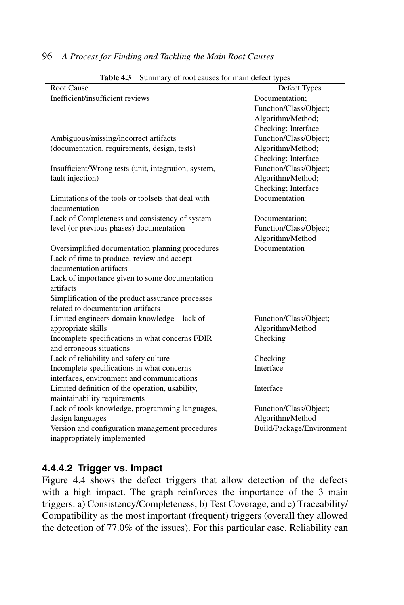| Table 4.3<br>Summary of root causes for main defect types |                           |
|-----------------------------------------------------------|---------------------------|
| <b>Root Cause</b>                                         | Defect Types              |
| Inefficient/insufficient reviews                          | Documentation;            |
|                                                           | Function/Class/Object;    |
|                                                           | Algorithm/Method;         |
|                                                           | Checking; Interface       |
| Ambiguous/missing/incorrect artifacts                     | Function/Class/Object;    |
| (documentation, requirements, design, tests)              | Algorithm/Method;         |
|                                                           | Checking; Interface       |
| Insufficient/Wrong tests (unit, integration, system,      | Function/Class/Object;    |
| fault injection)                                          | Algorithm/Method;         |
|                                                           | Checking; Interface       |
| Limitations of the tools or toolsets that deal with       | Documentation             |
| documentation                                             |                           |
| Lack of Completeness and consistency of system            | Documentation;            |
| level (or previous phases) documentation                  | Function/Class/Object;    |
|                                                           | Algorithm/Method          |
| Oversimplified documentation planning procedures          | Documentation             |
| Lack of time to produce, review and accept                |                           |
| documentation artifacts                                   |                           |
| Lack of importance given to some documentation            |                           |
| artifacts                                                 |                           |
| Simplification of the product assurance processes         |                           |
| related to documentation artifacts                        |                           |
| Limited engineers domain knowledge - lack of              | Function/Class/Object;    |
| appropriate skills                                        | Algorithm/Method          |
| Incomplete specifications in what concerns FDIR           | Checking                  |
| and erroneous situations                                  |                           |
| Lack of reliability and safety culture                    | Checking                  |
| Incomplete specifications in what concerns                | Interface                 |
| interfaces, environment and communications                |                           |
| Limited definition of the operation, usability,           | Interface                 |
| maintainability requirements                              |                           |
| Lack of tools knowledge, programming languages,           | Function/Class/Object;    |
| design languages                                          | Algorithm/Method          |
| Version and configuration management procedures           | Build/Package/Environment |
| inappropriately implemented                               |                           |
|                                                           |                           |

96 *A Process for Finding and Tackling the Main Root Causes*

### **4.4.4.2 Trigger vs. Impact**

Figure 4.4 shows the defect triggers that allow detection of the defects with a high impact. The graph reinforces the importance of the 3 main triggers: a) Consistency/Completeness, b) Test Coverage, and c) Traceability/ Compatibility as the most important (frequent) triggers (overall they allowed the detection of 77.0% of the issues). For this particular case, Reliability can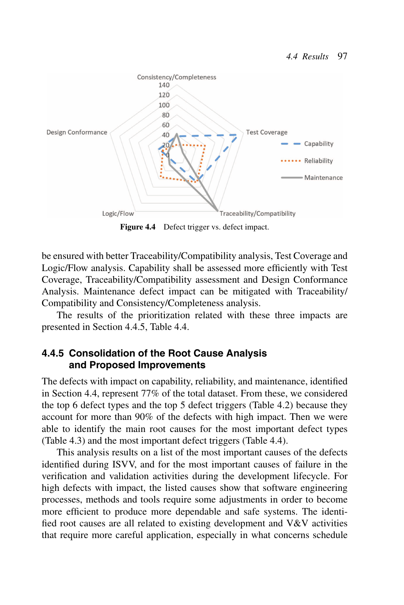

**Figure 4.4** Defect trigger vs. defect impact.

be ensured with better Traceability/Compatibility analysis, Test Coverage and Logic/Flow analysis. Capability shall be assessed more efficiently with Test Coverage, Traceability/Compatibility assessment and Design Conformance Analysis. Maintenance defect impact can be mitigated with Traceability/ Compatibility and Consistency/Completeness analysis.

The results of the prioritization related with these three impacts are presented in Section 4.4.5, Table 4.4.

### **4.4.5 Consolidation of the Root Cause Analysis and Proposed Improvements**

The defects with impact on capability, reliability, and maintenance, identified in Section 4.4, represent 77% of the total dataset. From these, we considered the top 6 defect types and the top 5 defect triggers (Table 4.2) because they account for more than 90% of the defects with high impact. Then we were able to identify the main root causes for the most important defect types (Table 4.3) and the most important defect triggers (Table 4.4).

This analysis results on a list of the most important causes of the defects identified during ISVV, and for the most important causes of failure in the verification and validation activities during the development lifecycle. For high defects with impact, the listed causes show that software engineering processes, methods and tools require some adjustments in order to become more efficient to produce more dependable and safe systems. The identified root causes are all related to existing development and V&V activities that require more careful application, especially in what concerns schedule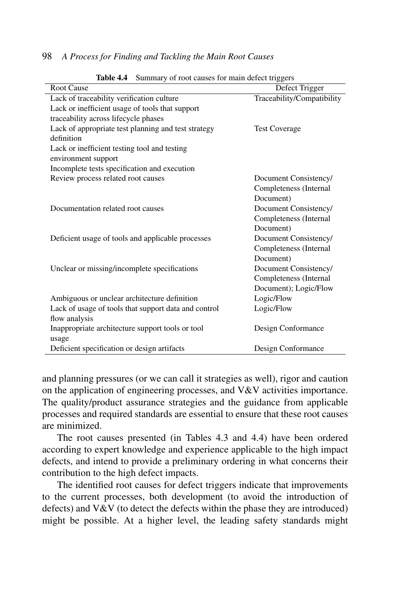| 98 | A Process for Finding and Tackling the Main Root Causes |  |  |  |  |  |  |  |
|----|---------------------------------------------------------|--|--|--|--|--|--|--|
|----|---------------------------------------------------------|--|--|--|--|--|--|--|

| Root Cause                                                          | Defect Trigger             |
|---------------------------------------------------------------------|----------------------------|
| Lack of traceability verification culture                           | Traceability/Compatibility |
| Lack or inefficient usage of tools that support                     |                            |
| traceability across lifecycle phases                                |                            |
| Lack of appropriate test planning and test strategy                 | <b>Test Coverage</b>       |
| definition                                                          |                            |
| Lack or inefficient testing tool and testing<br>environment support |                            |
| Incomplete tests specification and execution                        |                            |
| Review process related root causes                                  | Document Consistency/      |
|                                                                     | Completeness (Internal     |
|                                                                     | Document)                  |
| Documentation related root causes                                   | Document Consistency/      |
|                                                                     | Completeness (Internal     |
|                                                                     | Document)                  |
| Deficient usage of tools and applicable processes                   | Document Consistency/      |
|                                                                     | Completeness (Internal     |
|                                                                     | Document)                  |
| Unclear or missing/incomplete specifications                        | Document Consistency/      |
|                                                                     | Completeness (Internal     |
|                                                                     | Document); Logic/Flow      |
| Ambiguous or unclear architecture definition                        | Logic/Flow                 |
| Lack of usage of tools that support data and control                | Logic/Flow                 |
| flow analysis                                                       |                            |
| Inappropriate architecture support tools or tool                    | Design Conformance         |
| usage                                                               |                            |
| Deficient specification or design artifacts                         | Design Conformance         |

**Table 4.4** Summary of root causes for main defect triggers

and planning pressures (or we can call it strategies as well), rigor and caution on the application of engineering processes, and V&V activities importance. The quality/product assurance strategies and the guidance from applicable processes and required standards are essential to ensure that these root causes are minimized.

The root causes presented (in Tables 4.3 and 4.4) have been ordered according to expert knowledge and experience applicable to the high impact defects, and intend to provide a preliminary ordering in what concerns their contribution to the high defect impacts.

The identified root causes for defect triggers indicate that improvements to the current processes, both development (to avoid the introduction of defects) and V&V (to detect the defects within the phase they are introduced) might be possible. At a higher level, the leading safety standards might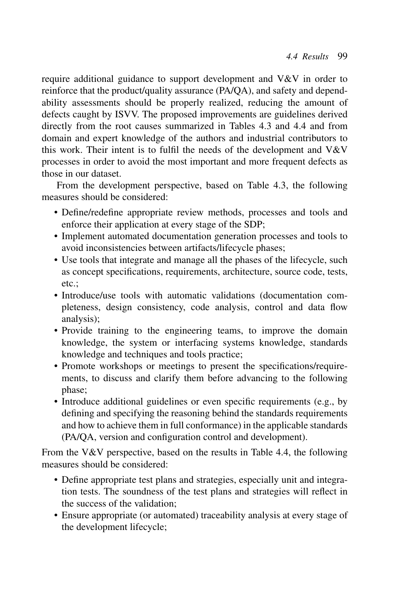require additional guidance to support development and V&V in order to reinforce that the product/quality assurance (PA/QA), and safety and dependability assessments should be properly realized, reducing the amount of defects caught by ISVV. The proposed improvements are guidelines derived directly from the root causes summarized in Tables 4.3 and 4.4 and from domain and expert knowledge of the authors and industrial contributors to this work. Their intent is to fulfil the needs of the development and V&V processes in order to avoid the most important and more frequent defects as those in our dataset.

From the development perspective, based on Table 4.3, the following measures should be considered:

- Define/redefine appropriate review methods, processes and tools and enforce their application at every stage of the SDP;
- Implement automated documentation generation processes and tools to avoid inconsistencies between artifacts/lifecycle phases;
- Use tools that integrate and manage all the phases of the lifecycle, such as concept specifications, requirements, architecture, source code, tests, etc.;
- Introduce/use tools with automatic validations (documentation completeness, design consistency, code analysis, control and data flow analysis);
- Provide training to the engineering teams, to improve the domain knowledge, the system or interfacing systems knowledge, standards knowledge and techniques and tools practice;
- Promote workshops or meetings to present the specifications/requirements, to discuss and clarify them before advancing to the following phase;
- Introduce additional guidelines or even specific requirements (e.g., by defining and specifying the reasoning behind the standards requirements and how to achieve them in full conformance) in the applicable standards (PA/QA, version and configuration control and development).

From the V&V perspective, based on the results in Table 4.4, the following measures should be considered:

- Define appropriate test plans and strategies, especially unit and integration tests. The soundness of the test plans and strategies will reflect in the success of the validation;
- Ensure appropriate (or automated) traceability analysis at every stage of the development lifecycle;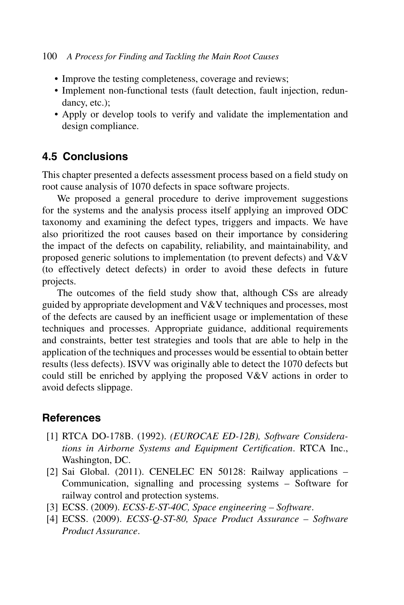- Improve the testing completeness, coverage and reviews;
- Implement non-functional tests (fault detection, fault injection, redundancy, etc.);
- Apply or develop tools to verify and validate the implementation and design compliance.

# **4.5 Conclusions**

This chapter presented a defects assessment process based on a field study on root cause analysis of 1070 defects in space software projects.

We proposed a general procedure to derive improvement suggestions for the systems and the analysis process itself applying an improved ODC taxonomy and examining the defect types, triggers and impacts. We have also prioritized the root causes based on their importance by considering the impact of the defects on capability, reliability, and maintainability, and proposed generic solutions to implementation (to prevent defects) and V&V (to effectively detect defects) in order to avoid these defects in future projects.

The outcomes of the field study show that, although CSs are already guided by appropriate development and V&V techniques and processes, most of the defects are caused by an inefficient usage or implementation of these techniques and processes. Appropriate guidance, additional requirements and constraints, better test strategies and tools that are able to help in the application of the techniques and processes would be essential to obtain better results (less defects). ISVV was originally able to detect the 1070 defects but could still be enriched by applying the proposed V&V actions in order to avoid defects slippage.

# **References**

- [1] RTCA DO-178B. (1992). *(EUROCAE ED-12B), Software Considerations in Airborne Systems and Equipment Certification*. RTCA Inc., Washington, DC.
- [2] Sai Global. (2011). CENELEC EN 50128: Railway applications Communication, signalling and processing systems – Software for railway control and protection systems.
- [3] ECSS. (2009). *ECSS-E-ST-40C, Space engineering Software*.
- [4] ECSS. (2009). *ECSS-Q-ST-80, Space Product Assurance Software Product Assurance*.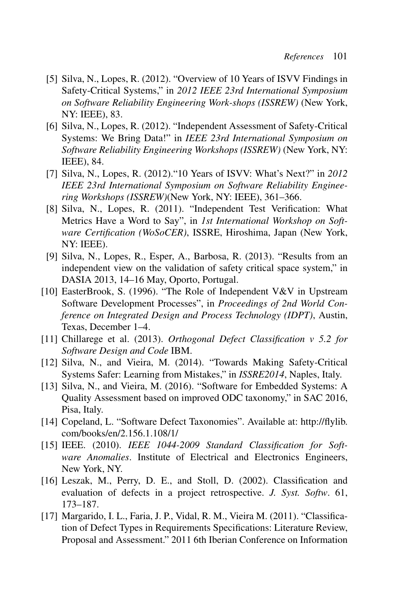- [5] Silva, N., Lopes, R. (2012). "Overview of 10 Years of ISVV Findings in Safety-Critical Systems," in *2012 IEEE 23rd International Symposium on Software Reliability Engineering Work-shops (ISSREW)* (New York, NY: IEEE), 83.
- [6] Silva, N., Lopes, R. (2012). "Independent Assessment of Safety-Critical Systems: We Bring Data!" in *IEEE 23rd International Symposium on Software Reliability Engineering Workshops (ISSREW)* (New York, NY: IEEE), 84.
- [7] Silva, N., Lopes, R. (2012)."10 Years of ISVV: What's Next?" in *2012 IEEE 23rd International Symposium on Software Reliability Engineering Workshops (ISSREW)*(New York, NY: IEEE), 361–366.
- [8] Silva, N., Lopes, R. (2011). "Independent Test Verification: What Metrics Have a Word to Say", in *1st International Workshop on Software Certification (WoSoCER)*, ISSRE, Hiroshima, Japan (New York, NY: IEEE).
- [9] Silva, N., Lopes, R., Esper, A., Barbosa, R. (2013). "Results from an independent view on the validation of safety critical space system," in DASIA 2013, 14–16 May, Oporto, Portugal.
- [10] EasterBrook, S. (1996). "The Role of Independent V&V in Upstream Software Development Processes", in *Proceedings of 2nd World Conference on Integrated Design and Process Technology (IDPT)*, Austin, Texas, December 1–4.
- [11] Chillarege et al. (2013). *Orthogonal Defect Classification v 5.2 for Software Design and Code* IBM.
- [12] Silva, N., and Vieira, M. (2014). "Towards Making Safety-Critical Systems Safer: Learning from Mistakes," in *ISSRE2014*, Naples, Italy.
- [13] Silva, N., and Vieira, M. (2016). "Software for Embedded Systems: A Quality Assessment based on improved ODC taxonomy," in SAC 2016, Pisa, Italy.
- [14] Copeland, L. "Software Defect Taxonomies". Available at: http://flylib. com/books/en/2.156.1.108/1/
- [15] IEEE. (2010). *IEEE* 1044-2009 Standard Classification for Soft*ware Anomalies*. Institute of Electrical and Electronics Engineers, New York, NY.
- [16] Leszak, M., Perry, D. E., and Stoll, D. (2002). Classification and evaluation of defects in a project retrospective. *J. Syst. Softw*. 61, 173–187.
- [17] Margarido, I. L., Faria, J. P., Vidal, R. M., Vieira M. (2011). "Classification of Defect Types in Requirements Specifications: Literature Review, Proposal and Assessment." 2011 6th Iberian Conference on Information